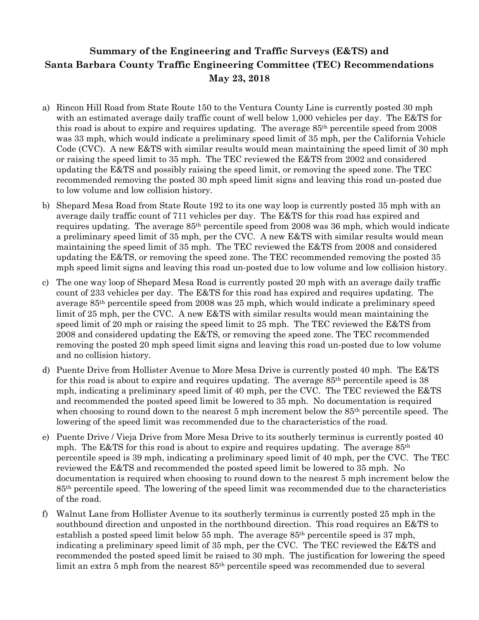## **Summary of the Engineering and Traffic Surveys (E&TS) and Santa Barbara County Traffic Engineering Committee (TEC) Recommendations May 23, 2018**

- a) Rincon Hill Road from State Route 150 to the Ventura County Line is currently posted 30 mph with an estimated average daily traffic count of well below 1,000 vehicles per day. The E&TS for this road is about to expire and requires updating. The average 85th percentile speed from 2008 was 33 mph, which would indicate a preliminary speed limit of 35 mph, per the California Vehicle Code (CVC). A new E&TS with similar results would mean maintaining the speed limit of 30 mph or raising the speed limit to 35 mph. The TEC reviewed the E&TS from 2002 and considered updating the E&TS and possibly raising the speed limit, or removing the speed zone. The TEC recommended removing the posted 30 mph speed limit signs and leaving this road un-posted due to low volume and low collision history.
- b) Shepard Mesa Road from State Route 192 to its one way loop is currently posted 35 mph with an average daily traffic count of 711 vehicles per day. The E&TS for this road has expired and requires updating. The average 85th percentile speed from 2008 was 36 mph, which would indicate a preliminary speed limit of 35 mph, per the CVC. A new E&TS with similar results would mean maintaining the speed limit of 35 mph. The TEC reviewed the E&TS from 2008 and considered updating the E&TS, or removing the speed zone. The TEC recommended removing the posted 35 mph speed limit signs and leaving this road un-posted due to low volume and low collision history.
- c) The one way loop of Shepard Mesa Road is currently posted 20 mph with an average daily traffic count of 233 vehicles per day. The E&TS for this road has expired and requires updating. The average 85th percentile speed from 2008 was 25 mph, which would indicate a preliminary speed limit of 25 mph, per the CVC. A new E&TS with similar results would mean maintaining the speed limit of 20 mph or raising the speed limit to 25 mph. The TEC reviewed the E&TS from 2008 and considered updating the E&TS, or removing the speed zone. The TEC recommended removing the posted 20 mph speed limit signs and leaving this road un-posted due to low volume and no collision history.
- d) Puente Drive from Hollister Avenue to More Mesa Drive is currently posted 40 mph. The E&TS for this road is about to expire and requires updating. The average  $85<sup>th</sup>$  percentile speed is 38 mph, indicating a preliminary speed limit of 40 mph, per the CVC. The TEC reviewed the E&TS and recommended the posted speed limit be lowered to 35 mph. No documentation is required when choosing to round down to the nearest 5 mph increment below the 85<sup>th</sup> percentile speed. The lowering of the speed limit was recommended due to the characteristics of the road.
- e) Puente Drive / Vieja Drive from More Mesa Drive to its southerly terminus is currently posted 40 mph. The E&TS for this road is about to expire and requires updating. The average 85th percentile speed is 39 mph, indicating a preliminary speed limit of 40 mph, per the CVC. The TEC reviewed the E&TS and recommended the posted speed limit be lowered to 35 mph. No documentation is required when choosing to round down to the nearest 5 mph increment below the 85th percentile speed. The lowering of the speed limit was recommended due to the characteristics of the road.
- f) Walnut Lane from Hollister Avenue to its southerly terminus is currently posted 25 mph in the southbound direction and unposted in the northbound direction. This road requires an E&TS to establish a posted speed limit below 55 mph. The average 85th percentile speed is 37 mph, indicating a preliminary speed limit of 35 mph, per the CVC. The TEC reviewed the E&TS and recommended the posted speed limit be raised to 30 mph. The justification for lowering the speed limit an extra 5 mph from the nearest 85<sup>th</sup> percentile speed was recommended due to several